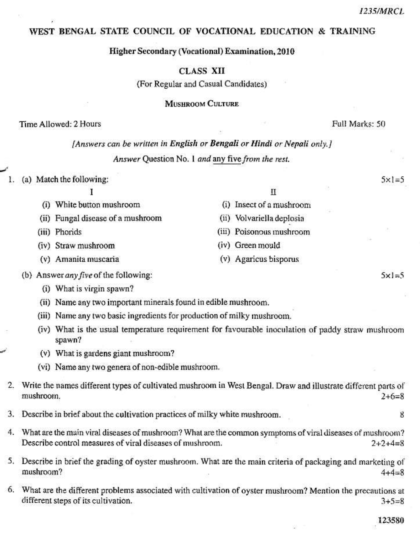$5 \times 1 = 5$ 

 $5 \times 1 = 5$ 

## WEST BENGAL STATE COUNCIL OF VOCATIONAL EDUCATION & TRAINING

### Higher Secondary (Vocational) Examination, 2010

# **CLASS XII**

(For Regular and Casual Candidates)

**MUSHROOM CULTURE** 

## Time Allowed: 2 Hours

Full Marks: 50

### [Answers can be written in English or Bengali or Hindi or Nepali only.]

Answer Question No. 1 and any five from the rest.

#### (a) Match the following: Ŀ.

|                                   | П                         |  |
|-----------------------------------|---------------------------|--|
| (i) White button mushroom         | (i) Insect of a mushroom  |  |
| (ii) Fungal disease of a mushroom | (ii) Volvariella deplosia |  |
| (iii) Phorids                     | (iii) Poisonous mushroom  |  |
| (iv) Straw mushroom               | E.<br>(iv) Green mould    |  |
| (v) Amanita muscaria              | (v) Agaricus bisporus     |  |

(b) Answer any five of the following:

- (i) What is virgin spawn?
- (ii) Name any two important minerals found in edible mushroom.
- (iii) Name any two basic ingredients for production of milky mushroom.
- (iv) What is the usual temperature requirement for favourable inoculation of paddy straw mushroom spawn?
- (v) What is gardens giant mushroom?
- (vi) Name any two genera of non-edible mushroom.
- 2. Write the names different types of cultivated mushroom in West Bengal. Draw and illustrate different parts of mushroom.  $2+6=8$
- 3. Describe in brief about the cultivation practices of milky white mushroom.
- $4.$ What are the main viral diseases of mushroom? What are the common symptoms of viral diseases of mushroom? Describe control measures of viral diseases of mushroom.  $2 + 2 + 4 = 8$
- 5. Describe in brief the grading of oyster mushroom. What are the main criteria of packaging and marketing of mushroom?  $4 + 4 = 8$
- 6. What are the different problems associated with cultivation of oyster mushroom? Mention the precautions at different steps of its cultivation.  $3 + 5 = 8$

8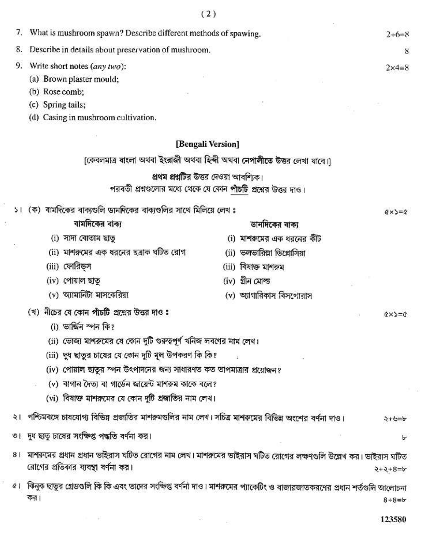|                | 7. What is mushroom spawn? Describe different methods of spawing.                                                         | $2+6=8$                                                                  |  |  |
|----------------|---------------------------------------------------------------------------------------------------------------------------|--------------------------------------------------------------------------|--|--|
| 8.             | Describe in details about preservation of mushroom.                                                                       | 8                                                                        |  |  |
| 9.             | Write short notes (any two):                                                                                              | $2x4=8$                                                                  |  |  |
|                | (a) Brown plaster mould;                                                                                                  |                                                                          |  |  |
|                | (b) Rose comb;                                                                                                            |                                                                          |  |  |
|                | (c) Spring tails;                                                                                                         |                                                                          |  |  |
|                | (d) Casing in mushroom cultivation.                                                                                       |                                                                          |  |  |
|                |                                                                                                                           | [Bengali Version]                                                        |  |  |
|                |                                                                                                                           | [কেবলমাত্র বাংলা অথবা ইংরাজী অথবা হিন্দী অথবা নেপালীতে উত্তর লেখা যাবে।] |  |  |
|                |                                                                                                                           | প্রথম প্রশ্নটির উত্তর দেওয়া আবশ্যিক।                                    |  |  |
|                |                                                                                                                           | পরবর্তী প্রশ্নগুলোর মধ্যে থেকে যে কোন পাঁচটি প্রশ্নের উত্তর দাও।         |  |  |
|                | ১। (ক) বার্মদিকের বাক্যগুলি ডানদিকের বাক্যগুলির সাথে মিলিয়ে লেখ ঃ                                                        | $(x \times 3) = 0$                                                       |  |  |
|                | বামদিকের বাক্য                                                                                                            | ডানদিকের বাক্য                                                           |  |  |
|                | (i) সাদা বোতাম ছাত                                                                                                        | (i) মাশরুমের এক ধরনের কীট                                                |  |  |
|                | (ii) মাশরুমের এক ধরনের ছত্রাক ঘটিত রোগ                                                                                    | (ii) ভলভারিল্লা ডিপ্লোসিয়া                                              |  |  |
|                | (iii) ফোরিড়স                                                                                                             | (iii) বিষাক্ত মাশরুম                                                     |  |  |
|                | (iv) পোয়াল ছাতূ                                                                                                          | (iv) গ্ৰীন মোল্ড                                                         |  |  |
|                | (v) অ্যামানিটা মাসকেরিয়া                                                                                                 | (v) অ্যাগারিকাস বিসগোরাস                                                 |  |  |
|                | (খ) নীচের যে কোন পাঁচটি প্রশ্নের উত্তর দাও ঃ                                                                              | $Q \times D = Q$                                                         |  |  |
|                | (i) ভাৰ্জিন স্পন কি?                                                                                                      |                                                                          |  |  |
|                | (ii) ভোজ্য মাশরুমের যে কোন দুটি গুরুত্বপূর্ণ খনিজ লবণের নাম লেখ।                                                          |                                                                          |  |  |
|                | (iii) দুধ ছাতুর চায়ের যে কোন দুটি মূল উপকরণ কি কি?                                                                       |                                                                          |  |  |
|                | (iv) পোয়াল ছাতুর স্পন উৎপাদনের জন্য সাধারণত কত তাপমাত্রার প্রয়োজন?                                                      |                                                                          |  |  |
|                | (v) বাগান দৈত্য বা গার্ডেন জায়েন্ট মাশরুম কাকে বলে?                                                                      |                                                                          |  |  |
|                | (vi) বিষাক্ত মাশরূমের যে কোন দুটি প্রজাতির নাম লেখ।                                                                       |                                                                          |  |  |
|                | ২। পশ্চিমবঙ্গে চাষযোগ্য বিভিন্ন প্রজাতির মাশরুমণ্ডলির নাম লেখ। সচিত্র মাশরুমের বিভিন্ন অংশের বর্ণনা দাও।<br>マーマート         |                                                                          |  |  |
|                | ৩। দুধ ছাতু চাষের সংক্ষিপ্ত পদ্ধতি বর্ণনা কর।                                                                             | ৮                                                                        |  |  |
| 8 <sub>1</sub> | মাশরুমের প্রধান প্রধান ভাইরাস ঘটিত রোগের নাম লেখ। মাশরুমের ভাইরাস ঘটিত রোগের লক্ষণগুলি উল্লেখ কর। ভাইরাস ঘটিত             |                                                                          |  |  |
|                | রোগের প্রতিকার ব্যবস্থা বর্ণনা কর।                                                                                        | $2+5+8=5$                                                                |  |  |
|                | ৫।  ঝিনুক ছাতুর গ্রেডগুলি কি কি এবং তাদের সংক্ষিপ্ত বর্ণনা দাও। মাশরুমের প্যাকেটিং ও বাজারজাতকরণের প্রধান শর্তগুলি আলোচনা |                                                                          |  |  |
|                | কর।                                                                                                                       | $8 + 8 = b$                                                              |  |  |
|                |                                                                                                                           | 123580<br>÷                                                              |  |  |
|                |                                                                                                                           |                                                                          |  |  |

 $\left( 2\right)$